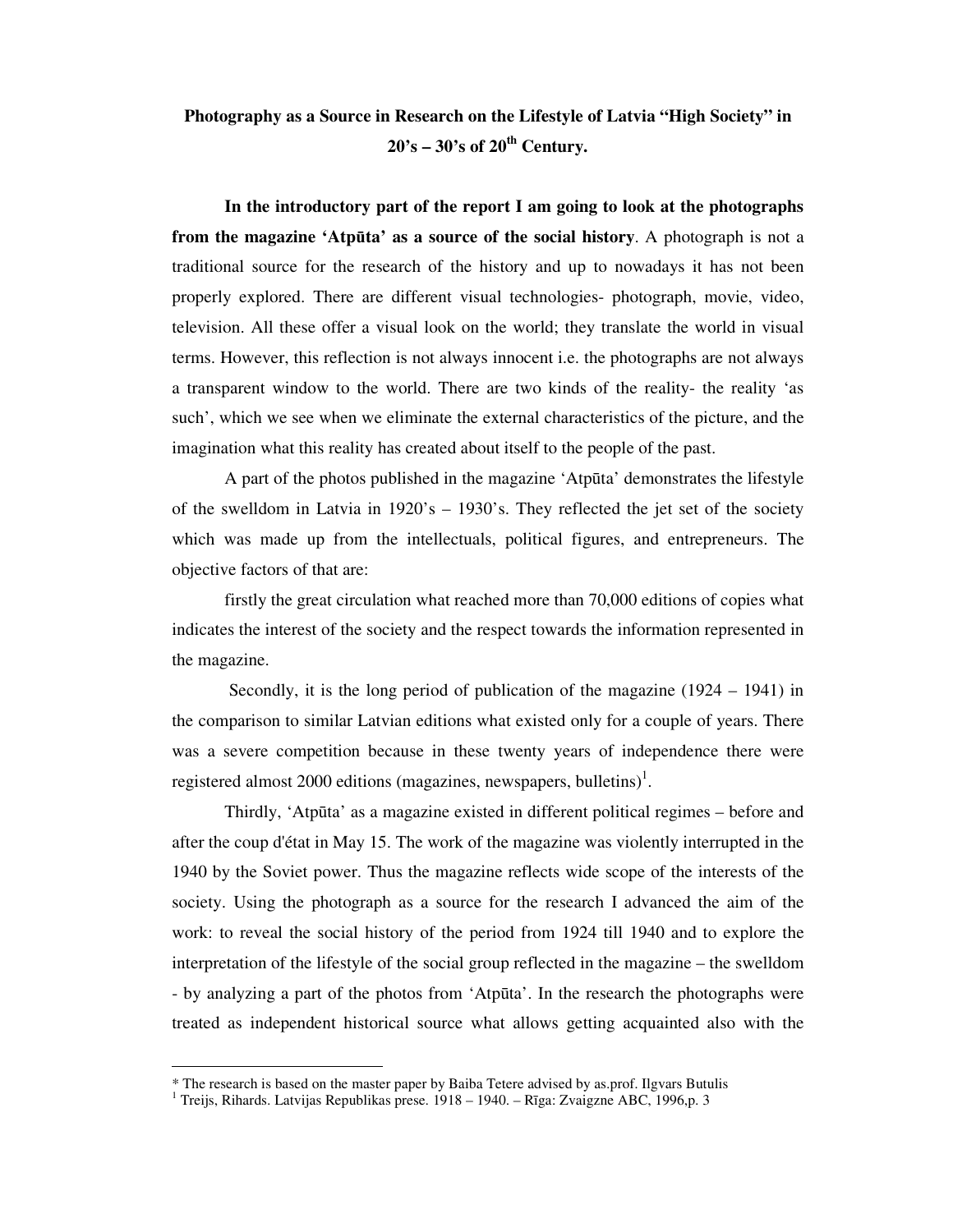# **Photography as a Source in Research on the Lifestyle of Latvia "High Society" in 20's – 30's of 20th Century.**

**In the introductory part of the report I am going to look at the photographs from the magazine 'Atp**ū**ta' as a source of the social history**. A photograph is not a traditional source for the research of the history and up to nowadays it has not been properly explored. There are different visual technologies- photograph, movie, video, television. All these offer a visual look on the world; they translate the world in visual terms. However, this reflection is not always innocent i.e. the photographs are not always a transparent window to the world. There are two kinds of the reality- the reality 'as such', which we see when we eliminate the external characteristics of the picture, and the imagination what this reality has created about itself to the people of the past.

 A part of the photos published in the magazine 'Atpūta' demonstrates the lifestyle of the swelldom in Latvia in 1920's – 1930's. They reflected the jet set of the society which was made up from the intellectuals, political figures, and entrepreneurs. The objective factors of that are:

 firstly the great circulation what reached more than 70,000 editions of copies what indicates the interest of the society and the respect towards the information represented in the magazine.

 Secondly, it is the long period of publication of the magazine (1924 – 1941) in the comparison to similar Latvian editions what existed only for a couple of years. There was a severe competition because in these twenty years of independence there were registered almost 2000 editions (magazines, newspapers, bulletins)<sup>1</sup>.

 Thirdly, 'Atpūta' as a magazine existed in different political regimes – before and after the coup d'état in May 15. The work of the magazine was violently interrupted in the 1940 by the Soviet power. Thus the magazine reflects wide scope of the interests of the society. Using the photograph as a source for the research I advanced the aim of the work: to reveal the social history of the period from 1924 till 1940 and to explore the interpretation of the lifestyle of the social group reflected in the magazine – the swelldom - by analyzing a part of the photos from 'Atpūta'. In the research the photographs were treated as independent historical source what allows getting acquainted also with the

-

<sup>\*</sup> The research is based on the master paper by Baiba Tetere advised by as.prof. Ilgvars Butulis

<sup>&</sup>lt;sup>1</sup> Treijs, Rihards. Latvijas Republikas prese. 1918 - 1940. - Rīga: Zvaigzne ABC, 1996,p. 3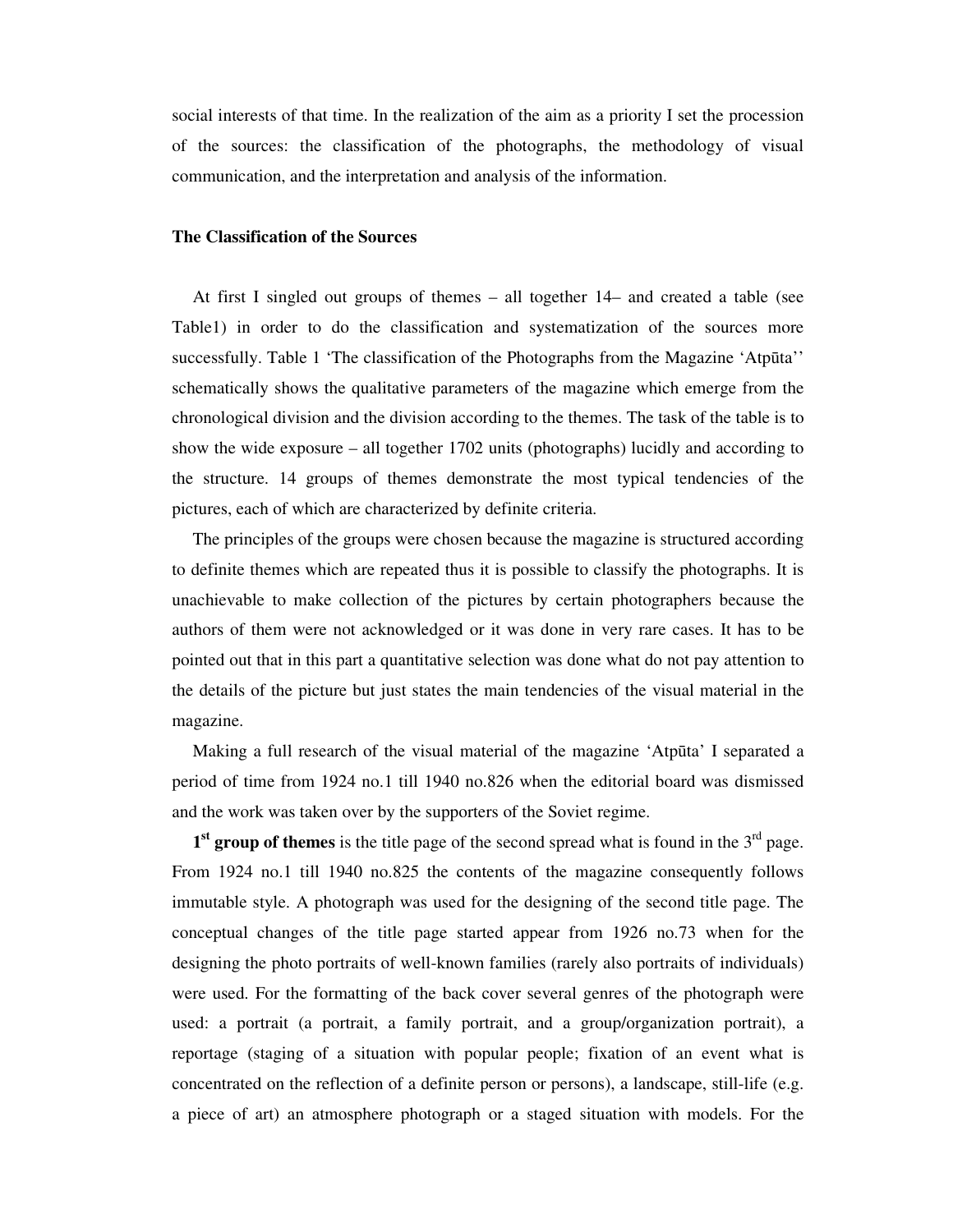social interests of that time. In the realization of the aim as a priority I set the procession of the sources: the classification of the photographs, the methodology of visual communication, and the interpretation and analysis of the information.

# **The Classification of the Sources**

At first I singled out groups of themes – all together 14– and created a table (see Table1) in order to do the classification and systematization of the sources more successfully. Table 1 'The classification of the Photographs from the Magazine 'Atpūta'' schematically shows the qualitative parameters of the magazine which emerge from the chronological division and the division according to the themes. The task of the table is to show the wide exposure – all together 1702 units (photographs) lucidly and according to the structure. 14 groups of themes demonstrate the most typical tendencies of the pictures, each of which are characterized by definite criteria.

The principles of the groups were chosen because the magazine is structured according to definite themes which are repeated thus it is possible to classify the photographs. It is unachievable to make collection of the pictures by certain photographers because the authors of them were not acknowledged or it was done in very rare cases. It has to be pointed out that in this part a quantitative selection was done what do not pay attention to the details of the picture but just states the main tendencies of the visual material in the magazine.

Making a full research of the visual material of the magazine 'Atpūta' I separated a period of time from 1924 no.1 till 1940 no.826 when the editorial board was dismissed and the work was taken over by the supporters of the Soviet regime.

1<sup>st</sup> group of themes is the title page of the second spread what is found in the 3<sup>rd</sup> page. From 1924 no.1 till 1940 no.825 the contents of the magazine consequently follows immutable style. A photograph was used for the designing of the second title page. The conceptual changes of the title page started appear from 1926 no.73 when for the designing the photo portraits of well-known families (rarely also portraits of individuals) were used. For the formatting of the back cover several genres of the photograph were used: a portrait (a portrait, a family portrait, and a group/organization portrait), a reportage (staging of a situation with popular people; fixation of an event what is concentrated on the reflection of a definite person or persons), a landscape, still-life (e.g. a piece of art) an atmosphere photograph or a staged situation with models. For the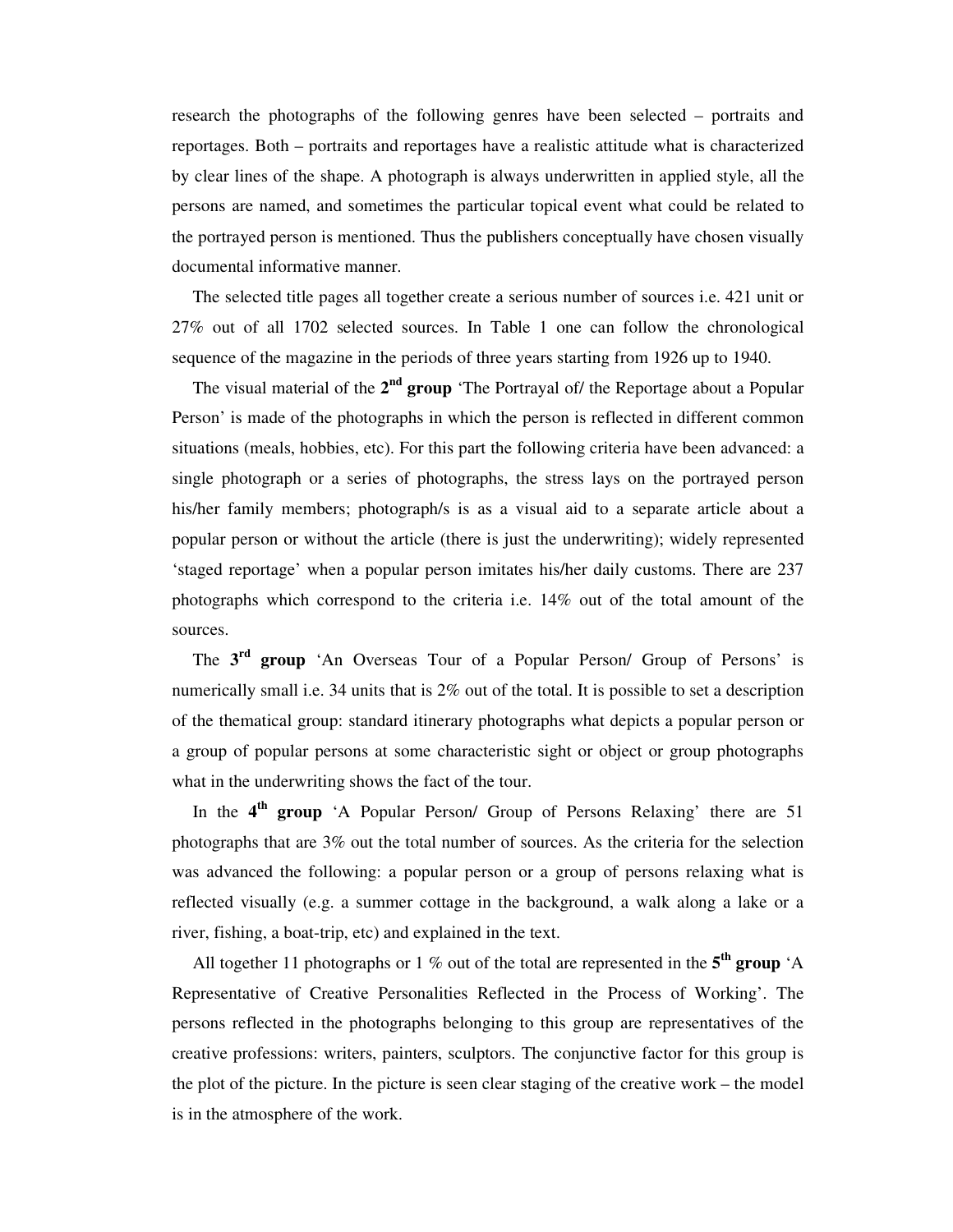research the photographs of the following genres have been selected – portraits and reportages. Both – portraits and reportages have a realistic attitude what is characterized by clear lines of the shape. A photograph is always underwritten in applied style, all the persons are named, and sometimes the particular topical event what could be related to the portrayed person is mentioned. Thus the publishers conceptually have chosen visually documental informative manner.

The selected title pages all together create a serious number of sources i.e. 421 unit or 27% out of all 1702 selected sources. In Table 1 one can follow the chronological sequence of the magazine in the periods of three years starting from 1926 up to 1940.

The visual material of the 2<sup>nd</sup> group 'The Portrayal of/ the Reportage about a Popular Person' is made of the photographs in which the person is reflected in different common situations (meals, hobbies, etc). For this part the following criteria have been advanced: a single photograph or a series of photographs, the stress lays on the portrayed person his/her family members; photograph/s is as a visual aid to a separate article about a popular person or without the article (there is just the underwriting); widely represented 'staged reportage' when a popular person imitates his/her daily customs. There are 237 photographs which correspond to the criteria i.e. 14% out of the total amount of the sources.

The **3 rd group** 'An Overseas Tour of a Popular Person/ Group of Persons' is numerically small i.e. 34 units that is 2% out of the total. It is possible to set a description of the thematical group: standard itinerary photographs what depicts a popular person or a group of popular persons at some characteristic sight or object or group photographs what in the underwriting shows the fact of the tour.

In the **4 th group** 'A Popular Person/ Group of Persons Relaxing' there are 51 photographs that are 3% out the total number of sources. As the criteria for the selection was advanced the following: a popular person or a group of persons relaxing what is reflected visually (e.g. a summer cottage in the background, a walk along a lake or a river, fishing, a boat-trip, etc) and explained in the text.

All together 11 photographs or 1 % out of the total are represented in the **5 th group** 'A Representative of Creative Personalities Reflected in the Process of Working'. The persons reflected in the photographs belonging to this group are representatives of the creative professions: writers, painters, sculptors. The conjunctive factor for this group is the plot of the picture. In the picture is seen clear staging of the creative work – the model is in the atmosphere of the work.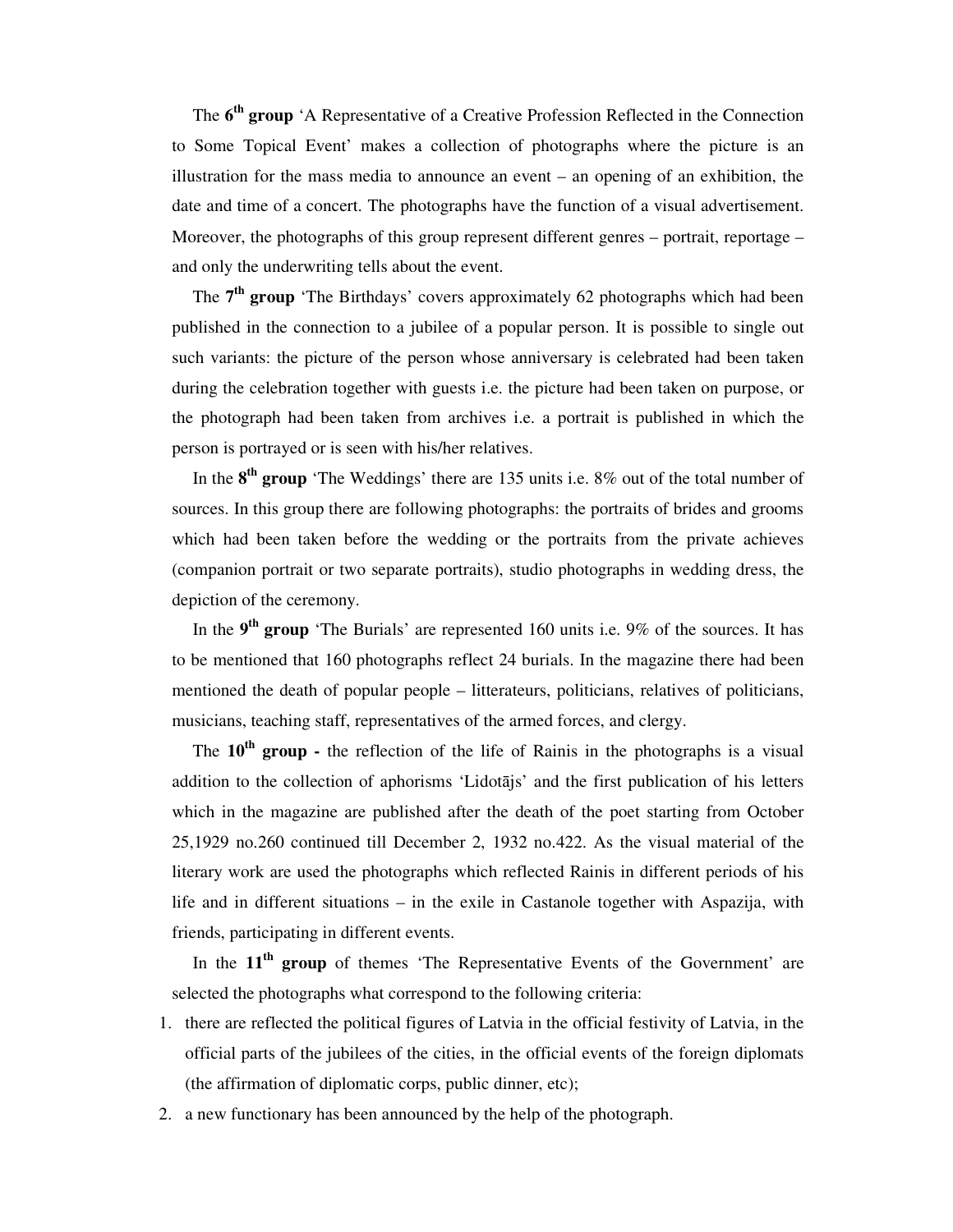The **6 th group** 'A Representative of a Creative Profession Reflected in the Connection to Some Topical Event' makes a collection of photographs where the picture is an illustration for the mass media to announce an event – an opening of an exhibition, the date and time of a concert. The photographs have the function of a visual advertisement. Moreover, the photographs of this group represent different genres – portrait, reportage – and only the underwriting tells about the event.

The **7 th group** 'The Birthdays' covers approximately 62 photographs which had been published in the connection to a jubilee of a popular person. It is possible to single out such variants: the picture of the person whose anniversary is celebrated had been taken during the celebration together with guests i.e. the picture had been taken on purpose, or the photograph had been taken from archives i.e. a portrait is published in which the person is portrayed or is seen with his/her relatives.

In the **8 th group** 'The Weddings' there are 135 units i.e. 8% out of the total number of sources. In this group there are following photographs: the portraits of brides and grooms which had been taken before the wedding or the portraits from the private achieves (companion portrait or two separate portraits), studio photographs in wedding dress, the depiction of the ceremony.

In the 9<sup>th</sup> group 'The Burials' are represented 160 units i.e. 9% of the sources. It has to be mentioned that 160 photographs reflect 24 burials. In the magazine there had been mentioned the death of popular people – litterateurs, politicians, relatives of politicians, musicians, teaching staff, representatives of the armed forces, and clergy.

The **10th group -** the reflection of the life of Rainis in the photographs is a visual addition to the collection of aphorisms 'Lidotājs' and the first publication of his letters which in the magazine are published after the death of the poet starting from October 25,1929 no.260 continued till December 2, 1932 no.422. As the visual material of the literary work are used the photographs which reflected Rainis in different periods of his life and in different situations – in the exile in Castanole together with Aspazija, with friends, participating in different events.

In the **11th group** of themes 'The Representative Events of the Government' are selected the photographs what correspond to the following criteria:

- 1. there are reflected the political figures of Latvia in the official festivity of Latvia, in the official parts of the jubilees of the cities, in the official events of the foreign diplomats (the affirmation of diplomatic corps, public dinner, etc);
- 2. a new functionary has been announced by the help of the photograph.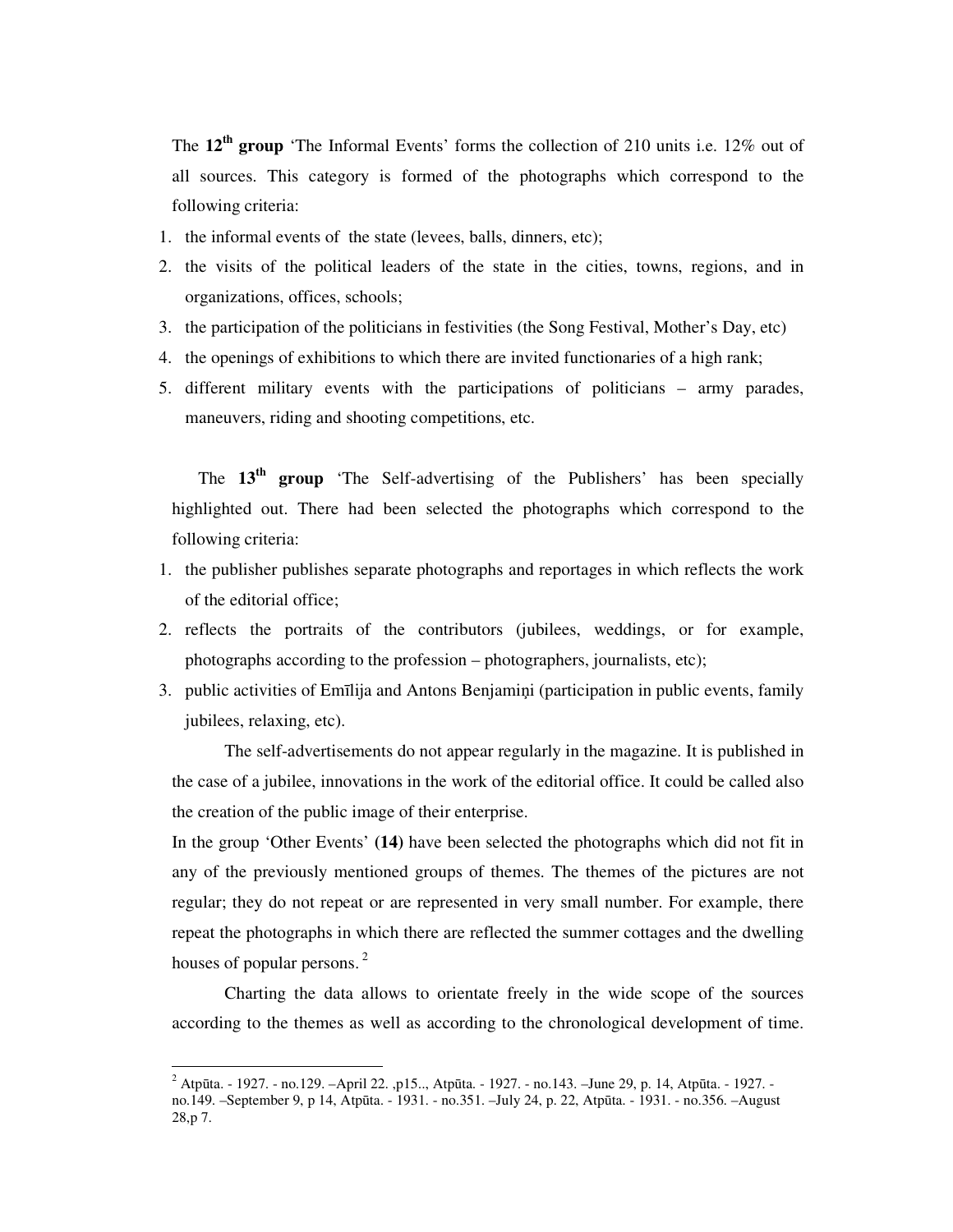The **12th group** 'The Informal Events' forms the collection of 210 units i.e. 12% out of all sources. This category is formed of the photographs which correspond to the following criteria:

- 1. the informal events of the state (levees, balls, dinners, etc);
- 2. the visits of the political leaders of the state in the cities, towns, regions, and in organizations, offices, schools;
- 3. the participation of the politicians in festivities (the Song Festival, Mother's Day, etc)
- 4. the openings of exhibitions to which there are invited functionaries of a high rank;
- 5. different military events with the participations of politicians army parades, maneuvers, riding and shooting competitions, etc.

The **13th group** 'The Self-advertising of the Publishers' has been specially highlighted out. There had been selected the photographs which correspond to the following criteria:

- 1. the publisher publishes separate photographs and reportages in which reflects the work of the editorial office;
- 2. reflects the portraits of the contributors (jubilees, weddings, or for example, photographs according to the profession – photographers, journalists, etc);
- 3. public activities of Emīlija and Antons Benjamiņi (participation in public events, family jubilees, relaxing, etc).

The self-advertisements do not appear regularly in the magazine. It is published in the case of a jubilee, innovations in the work of the editorial office. It could be called also the creation of the public image of their enterprise.

In the group 'Other Events' **(14)** have been selected the photographs which did not fit in any of the previously mentioned groups of themes. The themes of the pictures are not regular; they do not repeat or are represented in very small number. For example, there repeat the photographs in which there are reflected the summer cottages and the dwelling houses of popular persons.<sup>2</sup>

 Charting the data allows to orientate freely in the wide scope of the sources according to the themes as well as according to the chronological development of time.

-

<sup>&</sup>lt;sup>2</sup> Atpūta. - 1927. - no.129. –April 22. ,p15.., Atpūta. - 1927. - no.143. –June 29, p. 14, Atpūta. - 1927. no.149. –September 9, p 14, Atpūta. - 1931. - no.351. –July 24, p. 22, Atpūta. - 1931. - no.356. –August 28,p 7.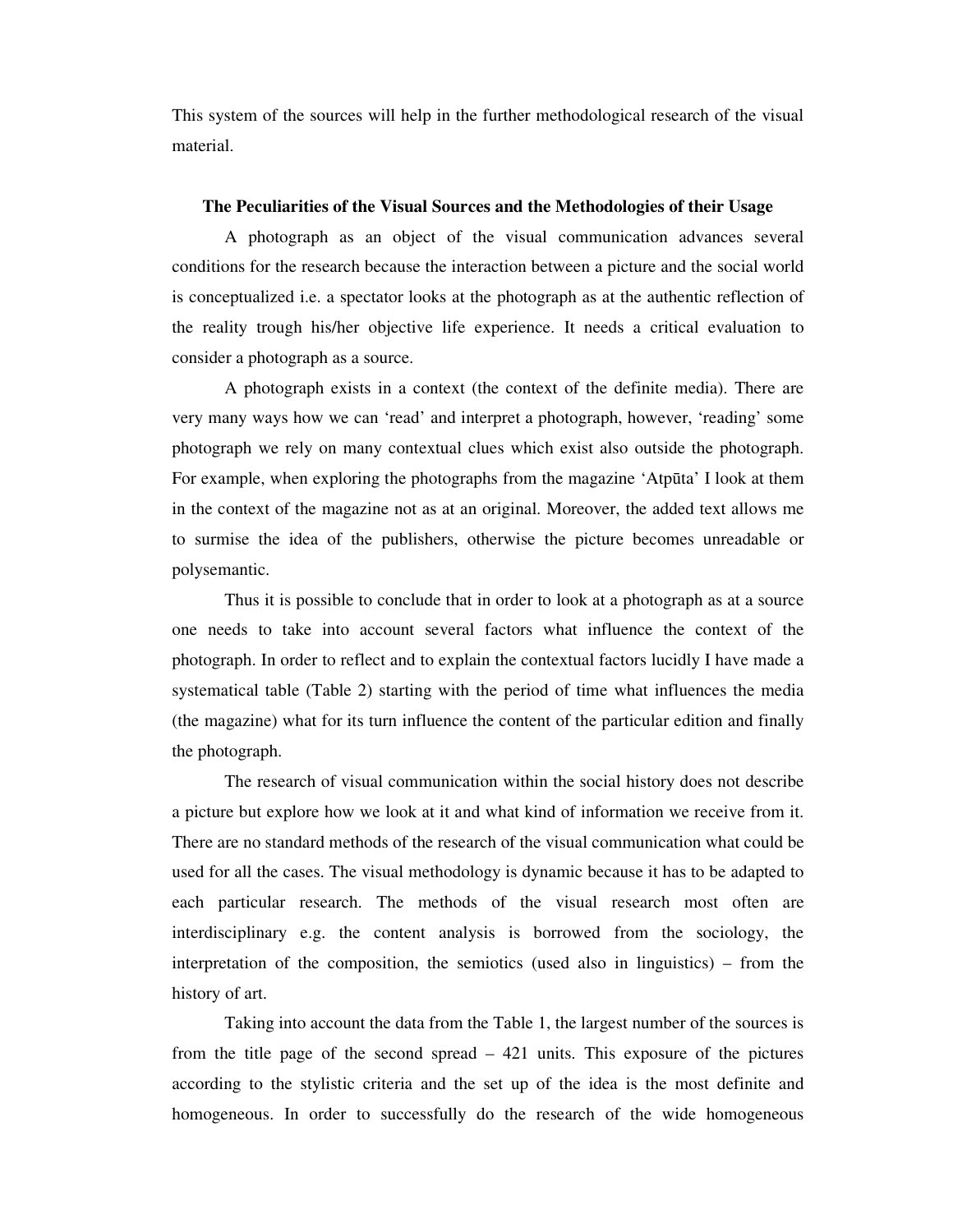This system of the sources will help in the further methodological research of the visual material.

## **The Peculiarities of the Visual Sources and the Methodologies of their Usage**

A photograph as an object of the visual communication advances several conditions for the research because the interaction between a picture and the social world is conceptualized i.e. a spectator looks at the photograph as at the authentic reflection of the reality trough his/her objective life experience. It needs a critical evaluation to consider a photograph as a source.

 A photograph exists in a context (the context of the definite media). There are very many ways how we can 'read' and interpret a photograph, however, 'reading' some photograph we rely on many contextual clues which exist also outside the photograph. For example, when exploring the photographs from the magazine 'Atpūta' I look at them in the context of the magazine not as at an original. Moreover, the added text allows me to surmise the idea of the publishers, otherwise the picture becomes unreadable or polysemantic.

 Thus it is possible to conclude that in order to look at a photograph as at a source one needs to take into account several factors what influence the context of the photograph. In order to reflect and to explain the contextual factors lucidly I have made a systematical table (Table 2) starting with the period of time what influences the media (the magazine) what for its turn influence the content of the particular edition and finally the photograph.

 The research of visual communication within the social history does not describe a picture but explore how we look at it and what kind of information we receive from it. There are no standard methods of the research of the visual communication what could be used for all the cases. The visual methodology is dynamic because it has to be adapted to each particular research. The methods of the visual research most often are interdisciplinary e.g. the content analysis is borrowed from the sociology, the interpretation of the composition, the semiotics (used also in linguistics) – from the history of art.

 Taking into account the data from the Table 1, the largest number of the sources is from the title page of the second spread – 421 units. This exposure of the pictures according to the stylistic criteria and the set up of the idea is the most definite and homogeneous. In order to successfully do the research of the wide homogeneous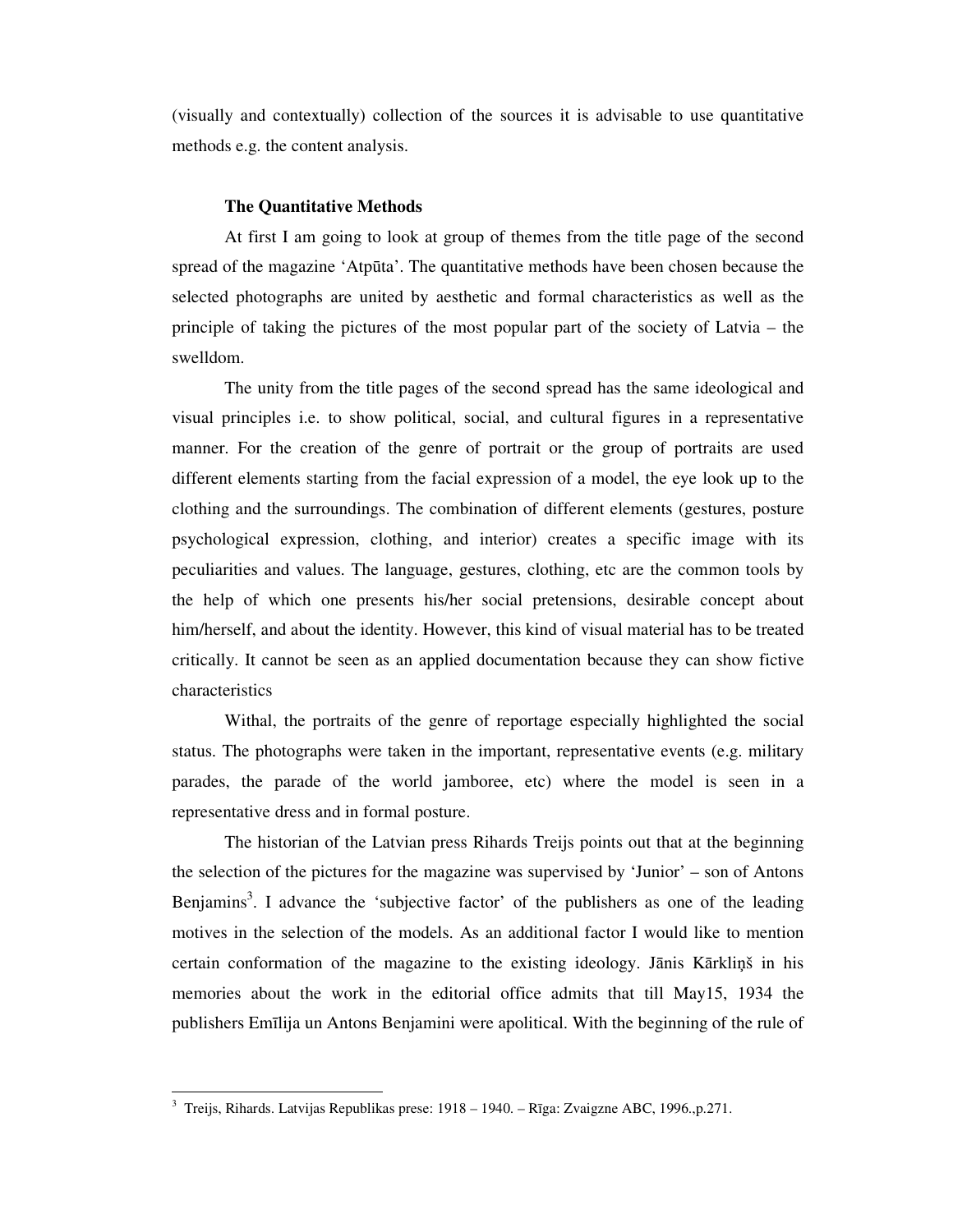(visually and contextually) collection of the sources it is advisable to use quantitative methods e.g. the content analysis.

#### **The Quantitative Methods**

 At first I am going to look at group of themes from the title page of the second spread of the magazine 'Atpūta'. The quantitative methods have been chosen because the selected photographs are united by aesthetic and formal characteristics as well as the principle of taking the pictures of the most popular part of the society of Latvia – the swelldom.

 The unity from the title pages of the second spread has the same ideological and visual principles i.e. to show political, social, and cultural figures in a representative manner. For the creation of the genre of portrait or the group of portraits are used different elements starting from the facial expression of a model, the eye look up to the clothing and the surroundings. The combination of different elements (gestures, posture psychological expression, clothing, and interior) creates a specific image with its peculiarities and values. The language, gestures, clothing, etc are the common tools by the help of which one presents his/her social pretensions, desirable concept about him/herself, and about the identity. However, this kind of visual material has to be treated critically. It cannot be seen as an applied documentation because they can show fictive characteristics

 Withal, the portraits of the genre of reportage especially highlighted the social status. The photographs were taken in the important, representative events (e.g. military parades, the parade of the world jamboree, etc) where the model is seen in a representative dress and in formal posture.

 The historian of the Latvian press Rihards Treijs points out that at the beginning the selection of the pictures for the magazine was supervised by 'Junior' – son of Antons Benjamins<sup>3</sup>. I advance the 'subjective factor' of the publishers as one of the leading motives in the selection of the models. As an additional factor I would like to mention certain conformation of the magazine to the existing ideology. Jānis Kārkliņš in his memories about the work in the editorial office admits that till May15, 1934 the publishers Emīlija un Antons Benjamini were apolitical. With the beginning of the rule of

 3 Treijs, Rihards. Latvijas Republikas prese: 1918 – 1940. – Rīga: Zvaigzne ABC, 1996.,p.271.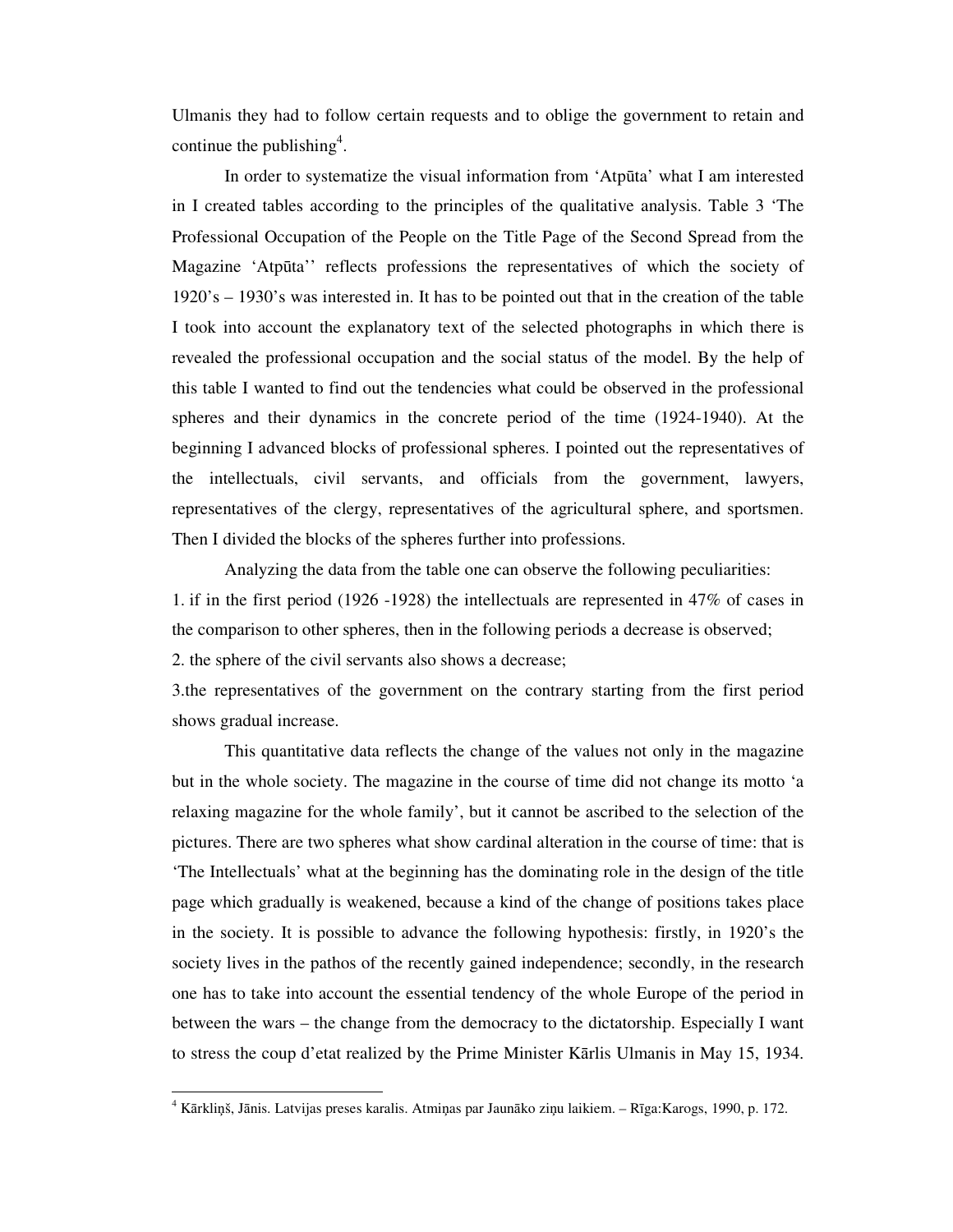Ulmanis they had to follow certain requests and to oblige the government to retain and continue the publishing<sup>4</sup>.

 In order to systematize the visual information from 'Atpūta' what I am interested in I created tables according to the principles of the qualitative analysis. Table 3 'The Professional Occupation of the People on the Title Page of the Second Spread from the Magazine 'Atpūta'' reflects professions the representatives of which the society of 1920's – 1930's was interested in. It has to be pointed out that in the creation of the table I took into account the explanatory text of the selected photographs in which there is revealed the professional occupation and the social status of the model. By the help of this table I wanted to find out the tendencies what could be observed in the professional spheres and their dynamics in the concrete period of the time (1924-1940). At the beginning I advanced blocks of professional spheres. I pointed out the representatives of the intellectuals, civil servants, and officials from the government, lawyers, representatives of the clergy, representatives of the agricultural sphere, and sportsmen. Then I divided the blocks of the spheres further into professions.

Analyzing the data from the table one can observe the following peculiarities: 1. if in the first period (1926 -1928) the intellectuals are represented in 47% of cases in the comparison to other spheres, then in the following periods a decrease is observed; 2. the sphere of the civil servants also shows a decrease;

3.the representatives of the government on the contrary starting from the first period shows gradual increase.

 This quantitative data reflects the change of the values not only in the magazine but in the whole society. The magazine in the course of time did not change its motto 'a relaxing magazine for the whole family', but it cannot be ascribed to the selection of the pictures. There are two spheres what show cardinal alteration in the course of time: that is 'The Intellectuals' what at the beginning has the dominating role in the design of the title page which gradually is weakened, because a kind of the change of positions takes place in the society. It is possible to advance the following hypothesis: firstly, in 1920's the society lives in the pathos of the recently gained independence; secondly, in the research one has to take into account the essential tendency of the whole Europe of the period in between the wars – the change from the democracy to the dictatorship. Especially I want to stress the coup d'etat realized by the Prime Minister Kārlis Ulmanis in May 15, 1934.

-

<sup>4</sup> Kārkliņš, Jānis. Latvijas preses karalis. Atmiņas par Jaunāko ziņu laikiem. – Rīga:Karogs, 1990, p. 172.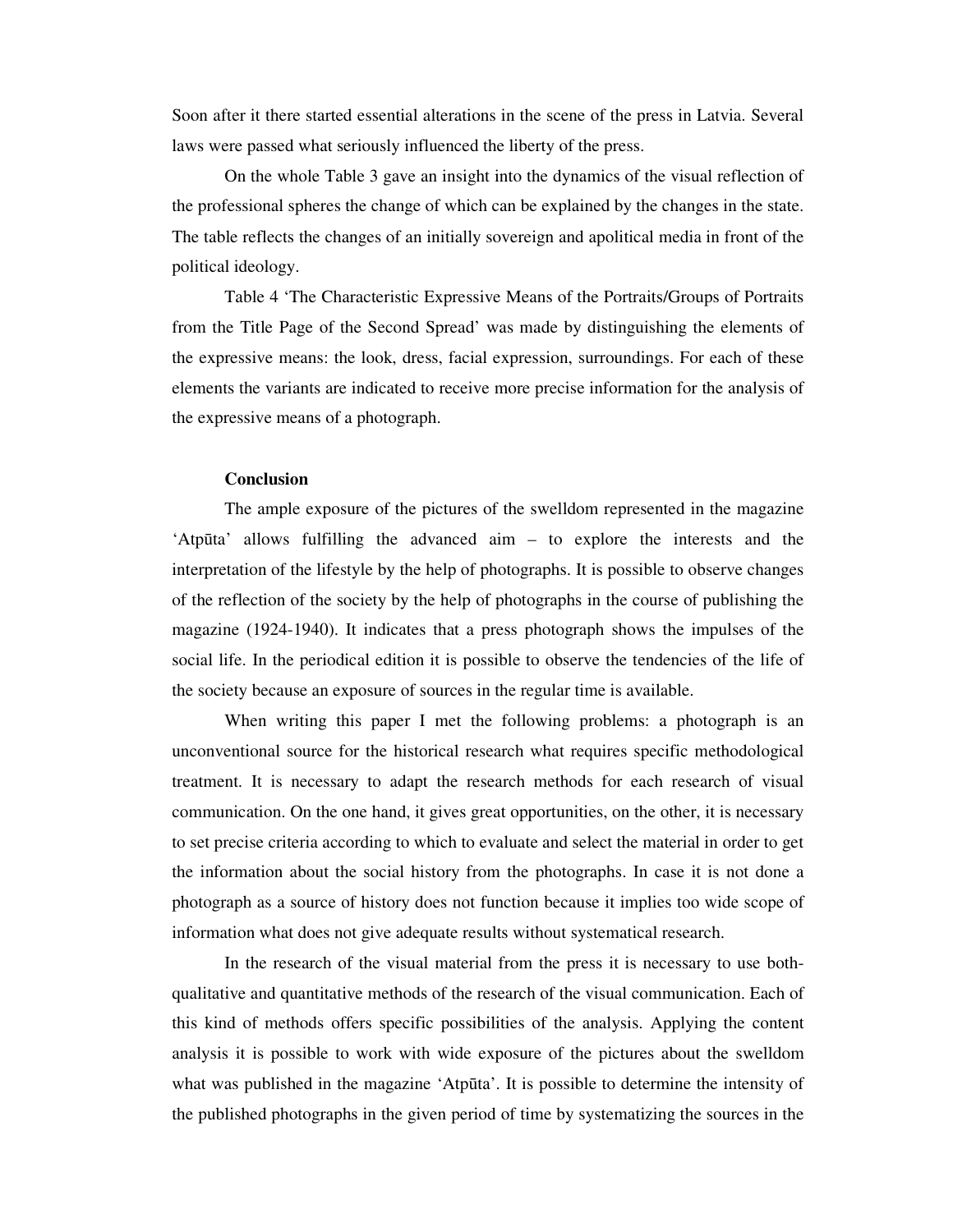Soon after it there started essential alterations in the scene of the press in Latvia. Several laws were passed what seriously influenced the liberty of the press.

 On the whole Table 3 gave an insight into the dynamics of the visual reflection of the professional spheres the change of which can be explained by the changes in the state. The table reflects the changes of an initially sovereign and apolitical media in front of the political ideology.

 Table 4 'The Characteristic Expressive Means of the Portraits/Groups of Portraits from the Title Page of the Second Spread' was made by distinguishing the elements of the expressive means: the look, dress, facial expression, surroundings. For each of these elements the variants are indicated to receive more precise information for the analysis of the expressive means of a photograph.

# **Conclusion**

 The ample exposure of the pictures of the swelldom represented in the magazine 'Atpūta' allows fulfilling the advanced aim – to explore the interests and the interpretation of the lifestyle by the help of photographs. It is possible to observe changes of the reflection of the society by the help of photographs in the course of publishing the magazine (1924-1940). It indicates that a press photograph shows the impulses of the social life. In the periodical edition it is possible to observe the tendencies of the life of the society because an exposure of sources in the regular time is available.

 When writing this paper I met the following problems: a photograph is an unconventional source for the historical research what requires specific methodological treatment. It is necessary to adapt the research methods for each research of visual communication. On the one hand, it gives great opportunities, on the other, it is necessary to set precise criteria according to which to evaluate and select the material in order to get the information about the social history from the photographs. In case it is not done a photograph as a source of history does not function because it implies too wide scope of information what does not give adequate results without systematical research.

 In the research of the visual material from the press it is necessary to use bothqualitative and quantitative methods of the research of the visual communication. Each of this kind of methods offers specific possibilities of the analysis. Applying the content analysis it is possible to work with wide exposure of the pictures about the swelldom what was published in the magazine 'Atpūta'. It is possible to determine the intensity of the published photographs in the given period of time by systematizing the sources in the